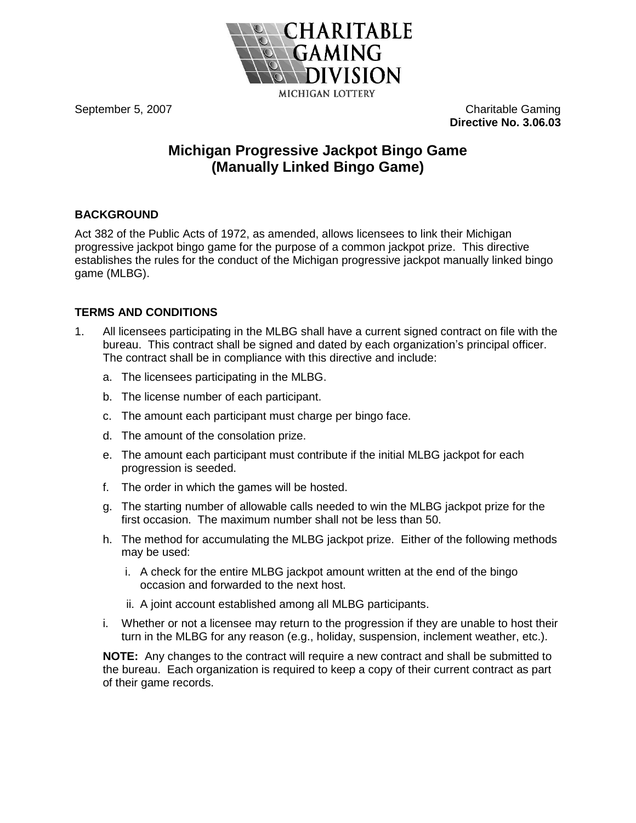

September 5, 2007 **Charitable Gaming Directive No. 3.06.03**

# **Michigan Progressive Jackpot Bingo Game (Manually Linked Bingo Game)**

# **BACKGROUND**

Act 382 of the Public Acts of 1972, as amended, allows licensees to link their Michigan progressive jackpot bingo game for the purpose of a common jackpot prize. This directive establishes the rules for the conduct of the Michigan progressive jackpot manually linked bingo game (MLBG).

# **TERMS AND CONDITIONS**

- 1. All licensees participating in the MLBG shall have a current signed contract on file with the bureau. This contract shall be signed and dated by each organization's principal officer. The contract shall be in compliance with this directive and include:
	- a. The licensees participating in the MLBG.
	- b. The license number of each participant.
	- c. The amount each participant must charge per bingo face.
	- d. The amount of the consolation prize.
	- e. The amount each participant must contribute if the initial MLBG jackpot for each progression is seeded.
	- f. The order in which the games will be hosted.
	- g. The starting number of allowable calls needed to win the MLBG jackpot prize for the first occasion. The maximum number shall not be less than 50.
	- h. The method for accumulating the MLBG jackpot prize. Either of the following methods may be used:
		- i. A check for the entire MLBG jackpot amount written at the end of the bingo occasion and forwarded to the next host.
		- ii. A joint account established among all MLBG participants.
	- i. Whether or not a licensee may return to the progression if they are unable to host their turn in the MLBG for any reason (e.g., holiday, suspension, inclement weather, etc.).

**NOTE:** Any changes to the contract will require a new contract and shall be submitted to the bureau. Each organization is required to keep a copy of their current contract as part of their game records.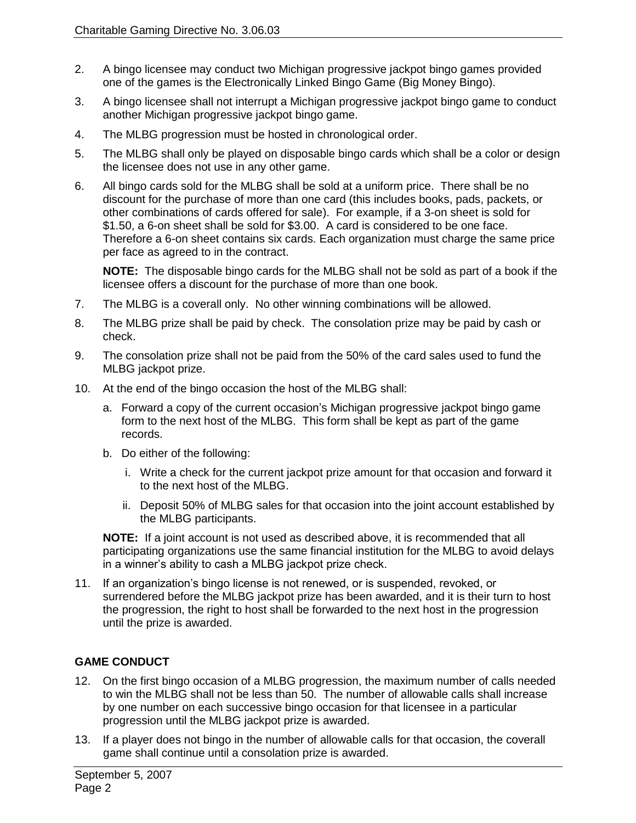- 2. A bingo licensee may conduct two Michigan progressive jackpot bingo games provided one of the games is the Electronically Linked Bingo Game (Big Money Bingo).
- 3. A bingo licensee shall not interrupt a Michigan progressive jackpot bingo game to conduct another Michigan progressive jackpot bingo game.
- 4. The MLBG progression must be hosted in chronological order.
- 5. The MLBG shall only be played on disposable bingo cards which shall be a color or design the licensee does not use in any other game.
- 6. All bingo cards sold for the MLBG shall be sold at a uniform price. There shall be no discount for the purchase of more than one card (this includes books, pads, packets, or other combinations of cards offered for sale). For example, if a 3-on sheet is sold for \$1.50, a 6-on sheet shall be sold for \$3.00. A card is considered to be one face. Therefore a 6-on sheet contains six cards. Each organization must charge the same price per face as agreed to in the contract.

**NOTE:** The disposable bingo cards for the MLBG shall not be sold as part of a book if the licensee offers a discount for the purchase of more than one book.

- 7. The MLBG is a coverall only. No other winning combinations will be allowed.
- 8. The MLBG prize shall be paid by check. The consolation prize may be paid by cash or check.
- 9. The consolation prize shall not be paid from the 50% of the card sales used to fund the MLBG jackpot prize.
- 10. At the end of the bingo occasion the host of the MLBG shall:
	- a. Forward a copy of the current occasion's Michigan progressive jackpot bingo game form to the next host of the MLBG. This form shall be kept as part of the game records.
	- b. Do either of the following:
		- i. Write a check for the current jackpot prize amount for that occasion and forward it to the next host of the MLBG.
		- ii. Deposit 50% of MLBG sales for that occasion into the joint account established by the MLBG participants.

**NOTE:** If a joint account is not used as described above, it is recommended that all participating organizations use the same financial institution for the MLBG to avoid delays in a winner's ability to cash a MLBG jackpot prize check.

11. If an organization's bingo license is not renewed, or is suspended, revoked, or surrendered before the MLBG jackpot prize has been awarded, and it is their turn to host the progression, the right to host shall be forwarded to the next host in the progression until the prize is awarded.

## **GAME CONDUCT**

- 12. On the first bingo occasion of a MLBG progression, the maximum number of calls needed to win the MLBG shall not be less than 50. The number of allowable calls shall increase by one number on each successive bingo occasion for that licensee in a particular progression until the MLBG jackpot prize is awarded.
- 13. If a player does not bingo in the number of allowable calls for that occasion, the coverall game shall continue until a consolation prize is awarded.